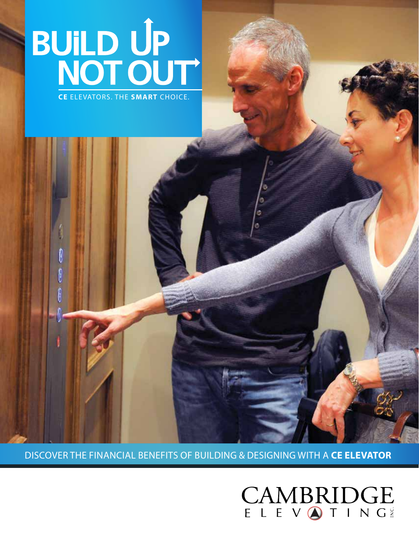# BUILD UP<br>NOT OUT

DISCOVER THE FINANCIAL BENEFITS OF BUILDING & DESIGNING WITH A **CE ELEVATOR**

CAMBRIDGE

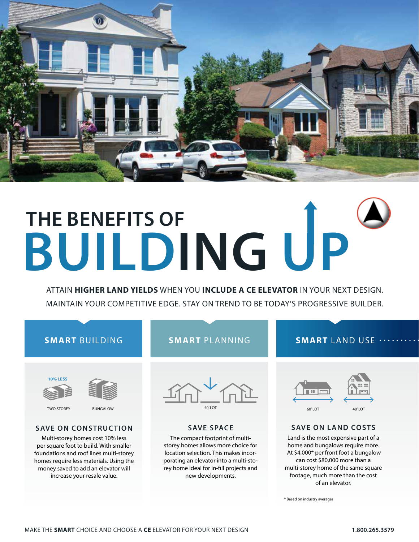

## **THE BENEFITS OF BUILDING UP**

ATTAIN **HIGHER LAND YIELDS** WHEN YOU **INCLUDE A CE ELEVATOR** IN YOUR NEXT DESIGN. MAINTAIN YOUR COMPETITIVE EDGE. STAY ON TREND TO BE TODAY'S PROGRESSIVE BUILDER.

### **SMART** BUILDING





TWO STOREY BUNGALOW

#### **SAVE ON CONSTRUCTION**

Multi-storey homes cost 10% less per square foot to build. With smaller foundations and roof lines multi-storey homes require less materials. Using the money saved to add an elevator will increase your resale value.

### **SMART** PLANNING

#### **SMART** LAND USE



#### **SAVE SPACE**

The compact footprint of multistorey homes allows more choice for location selection. This makes incorporating an elevator into a multi-storey home ideal for in-fill projects and new developments.



#### **SAVE ON LAND COSTS**

Land is the most expensive part of a home and bungalows require more. At \$4,000\* per front foot a bungalow can cost \$80,000 more than a multi-storey home of the same square footage, much more than the cost of an elevator.

\* Based on industry averages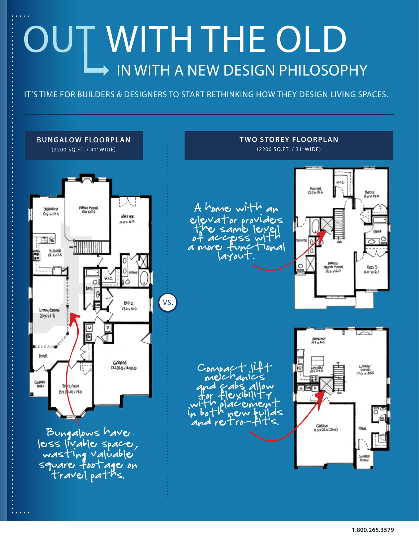## OUT WITH THE OLD IN WITH A NEW DESIGN PHILOSOPHY

IT'S TIME FOR BUILDERS & DESIGNERS TO START RETHINKING HOW THEY DESIGN LIVING SPACES.